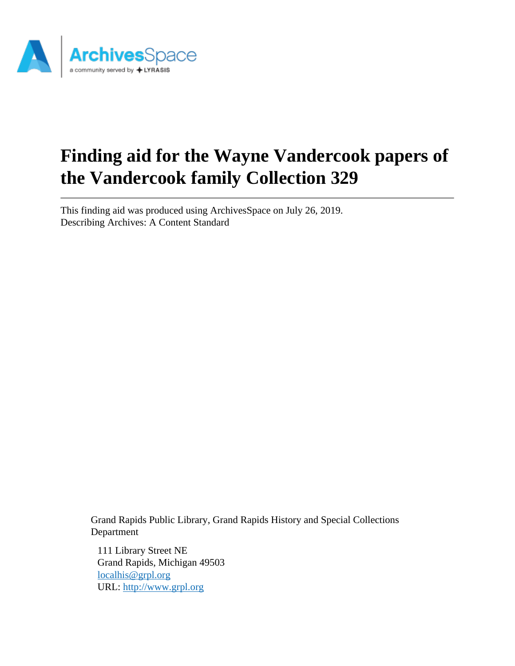

# **Finding aid for the Wayne Vandercook papers of the Vandercook family Collection 329**

This finding aid was produced using ArchivesSpace on July 26, 2019. Describing Archives: A Content Standard

> Grand Rapids Public Library, Grand Rapids History and Special Collections Department

111 Library Street NE Grand Rapids, Michigan 49503 [localhis@grpl.org](mailto:localhis@grpl.org) URL:<http://www.grpl.org>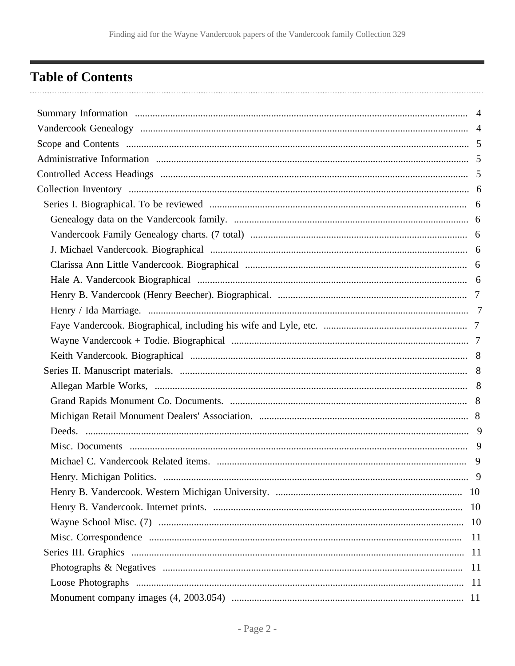# <span id="page-1-0"></span>**Table of Contents**

| 9   |
|-----|
|     |
|     |
|     |
| -11 |
|     |
|     |
|     |
|     |
|     |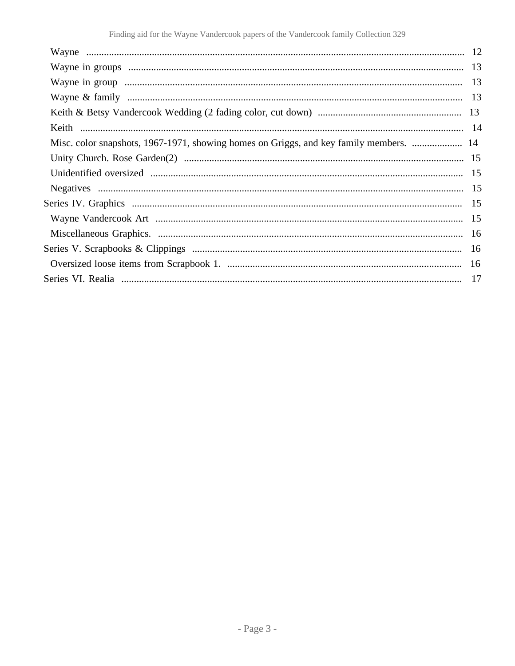| Misc. color snapshots, 1967-1971, showing homes on Griggs, and key family members.  14 |  |
|----------------------------------------------------------------------------------------|--|
|                                                                                        |  |
|                                                                                        |  |
|                                                                                        |  |
|                                                                                        |  |
|                                                                                        |  |
|                                                                                        |  |
|                                                                                        |  |
|                                                                                        |  |
|                                                                                        |  |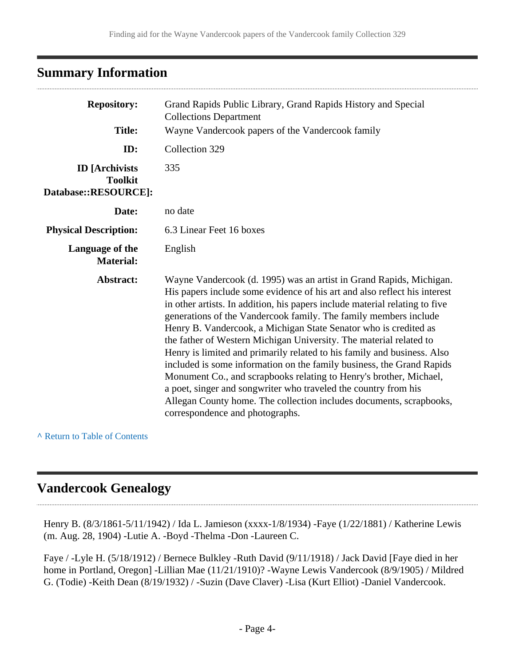# <span id="page-3-0"></span>**Summary Information**

| <b>Repository:</b><br><b>Title:</b>                             | Grand Rapids Public Library, Grand Rapids History and Special<br><b>Collections Department</b><br>Wayne Vandercook papers of the Vandercook family                                                                                                                                                                                                                                                                                                                                                                                                                                                                                                                                                                                                                                                                                                   |  |
|-----------------------------------------------------------------|------------------------------------------------------------------------------------------------------------------------------------------------------------------------------------------------------------------------------------------------------------------------------------------------------------------------------------------------------------------------------------------------------------------------------------------------------------------------------------------------------------------------------------------------------------------------------------------------------------------------------------------------------------------------------------------------------------------------------------------------------------------------------------------------------------------------------------------------------|--|
| ID:                                                             | Collection 329                                                                                                                                                                                                                                                                                                                                                                                                                                                                                                                                                                                                                                                                                                                                                                                                                                       |  |
| <b>ID</b> [Archivists<br><b>Toolkit</b><br>Database::RESOURCE]: | 335                                                                                                                                                                                                                                                                                                                                                                                                                                                                                                                                                                                                                                                                                                                                                                                                                                                  |  |
| Date:                                                           | no date                                                                                                                                                                                                                                                                                                                                                                                                                                                                                                                                                                                                                                                                                                                                                                                                                                              |  |
| <b>Physical Description:</b>                                    | 6.3 Linear Feet 16 boxes                                                                                                                                                                                                                                                                                                                                                                                                                                                                                                                                                                                                                                                                                                                                                                                                                             |  |
| Language of the<br><b>Material:</b>                             | English                                                                                                                                                                                                                                                                                                                                                                                                                                                                                                                                                                                                                                                                                                                                                                                                                                              |  |
| Abstract:                                                       | Wayne Vandercook (d. 1995) was an artist in Grand Rapids, Michigan.<br>His papers include some evidence of his art and also reflect his interest<br>in other artists. In addition, his papers include material relating to five<br>generations of the Vandercook family. The family members include<br>Henry B. Vandercook, a Michigan State Senator who is credited as<br>the father of Western Michigan University. The material related to<br>Henry is limited and primarily related to his family and business. Also<br>included is some information on the family business, the Grand Rapids<br>Monument Co., and scrapbooks relating to Henry's brother, Michael,<br>a poet, singer and songwriter who traveled the country from his<br>Allegan County home. The collection includes documents, scrapbooks,<br>correspondence and photographs. |  |

**^** [Return to Table of Contents](#page-1-0)

# <span id="page-3-1"></span>**Vandercook Genealogy**

Henry B. (8/3/1861-5/11/1942) / Ida L. Jamieson (xxxx-1/8/1934) -Faye (1/22/1881) / Katherine Lewis (m. Aug. 28, 1904) -Lutie A. -Boyd -Thelma -Don -Laureen C.

Faye / -Lyle H. (5/18/1912) / Bernece Bulkley -Ruth David (9/11/1918) / Jack David [Faye died in her home in Portland, Oregon] -Lillian Mae (11/21/1910)? -Wayne Lewis Vandercook (8/9/1905) / Mildred G. (Todie) -Keith Dean (8/19/1932) / -Suzin (Dave Claver) -Lisa (Kurt Elliot) -Daniel Vandercook.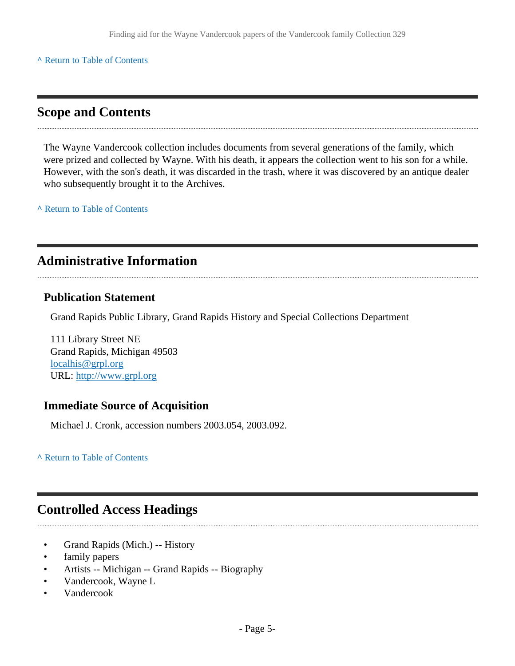#### **^** [Return to Table of Contents](#page-1-0)

### <span id="page-4-0"></span>**Scope and Contents**

The Wayne Vandercook collection includes documents from several generations of the family, which were prized and collected by Wayne. With his death, it appears the collection went to his son for a while. However, with the son's death, it was discarded in the trash, where it was discovered by an antique dealer who subsequently brought it to the Archives.

**^** [Return to Table of Contents](#page-1-0)

# <span id="page-4-1"></span>**Administrative Information**

#### **Publication Statement**

Grand Rapids Public Library, Grand Rapids History and Special Collections Department

111 Library Street NE Grand Rapids, Michigan 49503 [localhis@grpl.org](mailto:localhis@grpl.org) URL:<http://www.grpl.org>

#### **Immediate Source of Acquisition**

Michael J. Cronk, accession numbers 2003.054, 2003.092.

**^** [Return to Table of Contents](#page-1-0)

# <span id="page-4-2"></span>**Controlled Access Headings**

- Grand Rapids (Mich.) -- History
- family papers
- Artists -- Michigan -- Grand Rapids -- Biography
- Vandercook, Wayne L
- Vandercook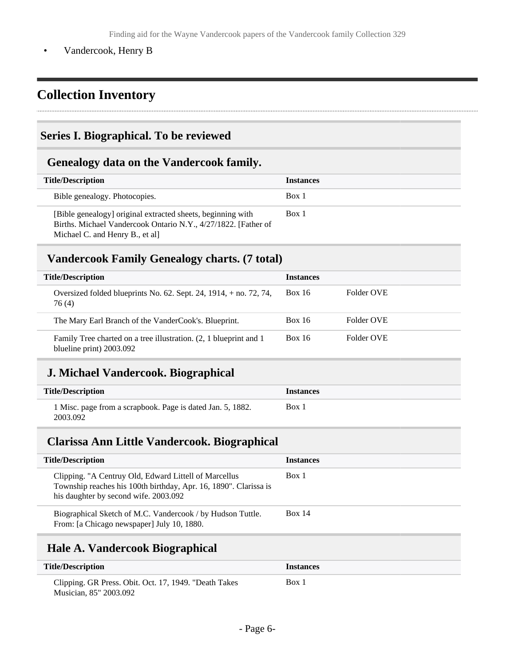• Vandercook, Henry B

# <span id="page-5-0"></span>**Collection Inventory**

### <span id="page-5-1"></span>**Series I. Biographical. To be reviewed**

### <span id="page-5-2"></span>**Genealogy data on the Vandercook family.**

| <b>Title/Description</b>                                                                                                                                         | <b>Instances</b> |
|------------------------------------------------------------------------------------------------------------------------------------------------------------------|------------------|
| Bible genealogy. Photocopies.                                                                                                                                    | Box 1            |
| [Bible genealogy] original extracted sheets, beginning with<br>Births. Michael Vandercook Ontario N.Y., 4/27/1822. [Father of<br>Michael C. and Henry B., et all | Box 1            |

### <span id="page-5-3"></span>**Vandercook Family Genealogy charts. (7 total)**

| <b>Title/Description</b>                                                                      | <b>Instances</b> |            |
|-----------------------------------------------------------------------------------------------|------------------|------------|
| Oversized folded blueprints No. $62$ . Sept. 24, 1914, $+$ no. 72, 74,<br>76 (4)              | <b>Box 16</b>    | Folder OVE |
| The Mary Earl Branch of the VanderCook's. Blueprint.                                          | <b>Box 16</b>    | Folder OVE |
| Family Tree charted on a tree illustration. (2, 1 blueprint and 1<br>blueline print) 2003.092 | <b>Box 16</b>    | Folder OVE |

# <span id="page-5-4"></span>**J. Michael Vandercook. Biographical**

| <b>Title/Description</b>                                               | <b>Instances</b> |
|------------------------------------------------------------------------|------------------|
| 1 Misc. page from a scrapbook. Page is dated Jan. 5, 1882.<br>2003.092 | Box 1            |

#### <span id="page-5-5"></span>**Clarissa Ann Little Vandercook. Biographical**

| <b>Title/Description</b>                                                                                                                                           | <b>Instances</b> |
|--------------------------------------------------------------------------------------------------------------------------------------------------------------------|------------------|
| Clipping. "A Centruy Old, Edward Littell of Marcellus<br>Township reaches his 100th birthday, Apr. 16, 1890". Clarissa is<br>his daughter by second wife. 2003.092 | Box 1            |
| Biographical Sketch of M.C. Vandercook / by Hudson Tuttle.<br>From: [a Chicago newspaper] July 10, 1880.                                                           | Box 14           |
|                                                                                                                                                                    |                  |

# <span id="page-5-6"></span>**Hale A. Vandercook Biographical**

| <b>Title/Description</b>                              | <i><u><b>Instances</b></u></i> |
|-------------------------------------------------------|--------------------------------|
| Clipping. GR Press. Obit. Oct. 17, 1949. "Death Takes | Box 1                          |
| Musician. 85" 2003.092                                |                                |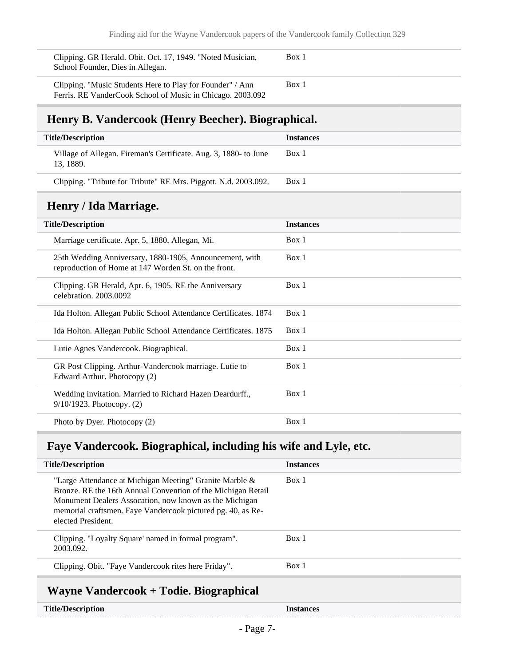| Clipping. GR Herald. Obit. Oct. 17, 1949. "Noted Musician,<br>School Founder, Dies in Allegan.                          | Box 1 |
|-------------------------------------------------------------------------------------------------------------------------|-------|
| Clipping. "Music Students Here to Play for Founder" / Ann<br>Ferris. RE VanderCook School of Music in Chicago. 2003.092 | Box 1 |

# <span id="page-6-0"></span>**Henry B. Vandercook (Henry Beecher). Biographical.**

| <b>Title/Description</b>                                                     | <b>Instances</b> |
|------------------------------------------------------------------------------|------------------|
| Village of Allegan. Fireman's Certificate. Aug. 3, 1880- to June<br>13.1889. | Box 1            |
| Clipping. "Tribute for Tribute" RE Mrs. Piggott. N.d. 2003.092.              | Box 1            |

# <span id="page-6-1"></span>**Henry / Ida Marriage.**

| <b>Title/Description</b>                                                                                        | <b>Instances</b> |
|-----------------------------------------------------------------------------------------------------------------|------------------|
| Marriage certificate. Apr. 5, 1880, Allegan, Mi.                                                                | Box 1            |
| 25th Wedding Anniversary, 1880-1905, Announcement, with<br>reproduction of Home at 147 Worden St. on the front. | Box 1            |
| Clipping. GR Herald, Apr. 6, 1905. RE the Anniversary<br>celebration. 2003.0092                                 | Box 1            |
| Ida Holton. Allegan Public School Attendance Certificates. 1874                                                 | Box 1            |
| Ida Holton. Allegan Public School Attendance Certificates. 1875                                                 | Box 1            |
| Lutie Agnes Vandercook. Biographical.                                                                           | Box 1            |
| GR Post Clipping. Arthur-Vandercook marriage. Lutie to<br>Edward Arthur. Photocopy (2)                          | Box 1            |
| Wedding invitation. Married to Richard Hazen Deardurff.,<br>$9/10/1923$ . Photocopy. $(2)$                      | Box 1            |
| Photo by Dyer. Photocopy (2)                                                                                    | Box 1            |

# <span id="page-6-2"></span>**Faye Vandercook. Biographical, including his wife and Lyle, etc.**

| <b>Title/Description</b>                                                                                                                                                                                                                                                                                                           | <b>Instances</b> |
|------------------------------------------------------------------------------------------------------------------------------------------------------------------------------------------------------------------------------------------------------------------------------------------------------------------------------------|------------------|
| "Large Attendance at Michigan Meeting" Granite Marble $\&$<br>Bronze. RE the 16th Annual Convention of the Michigan Retail<br>Monument Dealers Assocation, now known as the Michigan<br>memorial craftsmen. Faye Vandercook pictured pg. 40, as Re-<br>elected President.                                                          | Box 1            |
| Clipping. "Loyalty Square' named in formal program".<br>2003.092.                                                                                                                                                                                                                                                                  | Box 1            |
| Clipping. Obit. "Faye Vandercook rites here Friday".                                                                                                                                                                                                                                                                               | Box 1            |
| $\mathbf{W}$ $\mathbf{V}$ $\mathbf{V}$ $\mathbf{V}$ $\mathbf{V}$ $\mathbf{V}$ $\mathbf{V}$ $\mathbf{V}$ $\mathbf{V}$ $\mathbf{V}$ $\mathbf{V}$ $\mathbf{V}$ $\mathbf{V}$ $\mathbf{V}$ $\mathbf{V}$ $\mathbf{V}$ $\mathbf{V}$ $\mathbf{V}$ $\mathbf{V}$ $\mathbf{V}$ $\mathbf{V}$ $\mathbf{V}$ $\mathbf{V}$ $\mathbf{V}$ $\mathbf{$ |                  |

# <span id="page-6-3"></span>**Wayne Vandercook + Todie. Biographical**

**Title/Description Instances**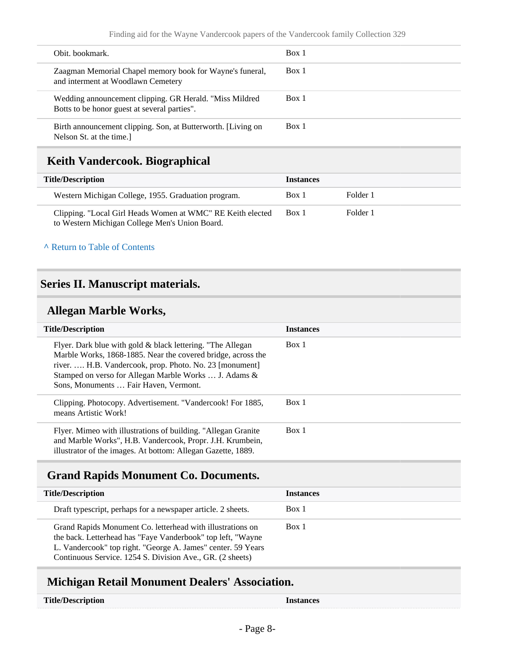| Obit. bookmark.                                                                                          | Box 1 |
|----------------------------------------------------------------------------------------------------------|-------|
| Zaagman Memorial Chapel memory book for Wayne's funeral,<br>and interment at Woodlawn Cemetery           | Box 1 |
| Wedding announcement clipping. GR Herald. "Miss Mildred"<br>Botts to be honor guest at several parties". | Box 1 |
| Birth announcement clipping. Son, at Butterworth. [Living on<br>Nelson St. at the time.]                 | Box 1 |

# <span id="page-7-0"></span>**Keith Vandercook. Biographical**

| <b>Title/Description</b>                                                                                     | <b>Instances</b> |          |  |
|--------------------------------------------------------------------------------------------------------------|------------------|----------|--|
| Western Michigan College, 1955. Graduation program.                                                          | Box 1            | Folder 1 |  |
| Clipping. "Local Girl Heads Women at WMC" RE Keith elected<br>to Western Michigan College Men's Union Board. | Box 1            | Folder 1 |  |

#### **^** [Return to Table of Contents](#page-1-0)

#### <span id="page-7-1"></span>**Series II. Manuscript materials.**

### <span id="page-7-2"></span>**Allegan Marble Works,**

| <b>Title/Description</b>                                                                                                                                                                                                                                                                | <b>Instances</b> |
|-----------------------------------------------------------------------------------------------------------------------------------------------------------------------------------------------------------------------------------------------------------------------------------------|------------------|
| Flyer. Dark blue with gold & black lettering. "The Allegan<br>Marble Works, 1868-1885. Near the covered bridge, across the<br>river.  H.B. Vandercook, prop. Photo. No. 23 [monument]<br>Stamped on verso for Allegan Marble Works  J. Adams &<br>Sons, Monuments  Fair Haven, Vermont. | Box 1            |
| Clipping. Photocopy. Advertisement. "Vandercook! For 1885,<br>means Artistic Work!                                                                                                                                                                                                      | Box 1            |
| Flyer. Mimeo with illustrations of building. "Allegan Granite"<br>and Marble Works", H.B. Vandercook, Propr. J.H. Krumbein,<br>illustrator of the images. At bottom: Allegan Gazette, 1889.                                                                                             | Box 1            |

# <span id="page-7-3"></span>**Grand Rapids Monument Co. Documents.**

| <b>Title/Description</b>                                                                                                                                                                                                                               | <b>Instances</b> |
|--------------------------------------------------------------------------------------------------------------------------------------------------------------------------------------------------------------------------------------------------------|------------------|
| Draft typescript, perhaps for a newspaper article. 2 sheets.                                                                                                                                                                                           | Box 1            |
| Grand Rapids Monument Co. letterhead with illustrations on<br>the back. Letterhead has "Faye Vanderbook" top left, "Wayne<br>L. Vandercook" top right. "George A. James" center. 59 Years<br>Continuous Service. 1254 S. Division Ave., GR. (2 sheets) | Box 1            |

# <span id="page-7-4"></span>**Michigan Retail Monument Dealers' Association.**

| <b>Title/Description</b> | Instances |
|--------------------------|-----------|
|                          |           |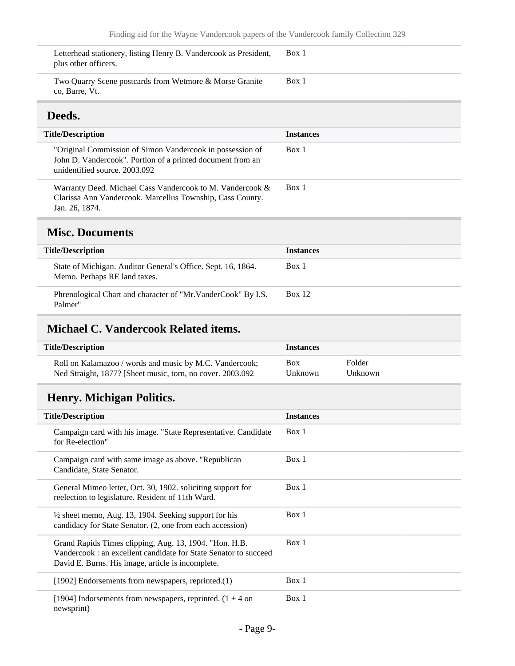<span id="page-8-0"></span>Letterhead stationery, listing Henry B. Vandercook as President, plus other officers. Box 1 Two Quarry Scene postcards from Wetmore & Morse Granite co, Barre, Vt. Box 1 **Deeds. Title/Description Instances** "Original Commission of Simon Vandercook in possession of John D. Vandercook". Portion of a printed document from an unidentified source. 2003.092 Box 1 Warranty Deed. Michael Cass Vandercook to M. Vandercook & Clarissa Ann Vandercook. Marcellus Township, Cass County. Jan. 26, 1874. Box 1 **Misc. Documents Title/Description Instances** State of Michigan. Auditor General's Office. Sept. 16, 1864. Memo. Perhaps RE land taxes. Box 1

<span id="page-8-1"></span>Phrenological Chart and character of "Mr.VanderCook" By I.S. Palmer" Box 12

#### <span id="page-8-2"></span>**Michael C. Vandercook Related items.**

| <b>Title/Description</b>                                   | <b>Instances</b> |         |
|------------------------------------------------------------|------------------|---------|
| Roll on Kalamazoo / words and music by M.C. Vandercook;    | <b>Box</b>       | Folder  |
| Ned Straight, 1877? [Sheet music, torn, no cover. 2003.092 | Unknown          | Unknown |

### <span id="page-8-3"></span>**Henry. Michigan Politics.**

| <b>Title/Description</b>                                                                                                                                                       | <b>Instances</b> |
|--------------------------------------------------------------------------------------------------------------------------------------------------------------------------------|------------------|
| Campaign card with his image. "State Representative. Candidate<br>for Re-election"                                                                                             | Box 1            |
| Campaign card with same image as above. "Republican"<br>Candidate, State Senator.                                                                                              | Box 1            |
| General Mimeo letter, Oct. 30, 1902. soliciting support for<br>reelection to legislature. Resident of 11th Ward.                                                               | Box 1            |
| $\frac{1}{2}$ sheet memo, Aug. 13, 1904. Seeking support for his<br>candidacy for State Senator. (2, one from each accession)                                                  | Box 1            |
| Grand Rapids Times clipping, Aug. 13, 1904. "Hon. H.B.<br>Vandercook: an excellent candidate for State Senator to succeed<br>David E. Burns. His image, article is incomplete. | Box 1            |
| [1902] Endorsements from newspapers, reprinted.(1)                                                                                                                             | Box 1            |
| [1904] Indorsements from newspapers, reprinted. $(1 + 4$ on<br>newsprint)                                                                                                      | Box 1            |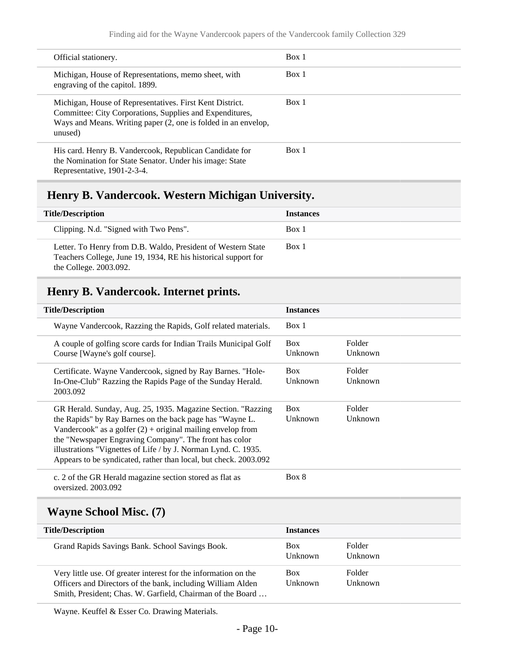| Official stationery.                                                                                                                                                                              | Box 1 |
|---------------------------------------------------------------------------------------------------------------------------------------------------------------------------------------------------|-------|
| Michigan, House of Representations, memo sheet, with<br>engraving of the capitol. 1899.                                                                                                           | Box 1 |
| Michigan, House of Representatives. First Kent District.<br>Committee: City Corporations, Supplies and Expenditures,<br>Ways and Means. Writing paper (2, one is folded in an envelop,<br>unused) | Box 1 |
| His card. Henry B. Vandercook, Republican Candidate for<br>the Nomination for State Senator. Under his image: State<br>Representative, 1901-2-3-4.                                                | Box 1 |

# <span id="page-9-0"></span>**Henry B. Vandercook. Western Michigan University.**

| <b>Title/Description</b>                                                                                                                                 | <b>Instances</b> |
|----------------------------------------------------------------------------------------------------------------------------------------------------------|------------------|
| Clipping. N.d. "Signed with Two Pens".                                                                                                                   | Box 1            |
| Letter. To Henry from D.B. Waldo, President of Western State<br>Teachers College, June 19, 1934, RE his historical support for<br>the College. 2003.092. | Box 1            |

# <span id="page-9-1"></span>**Henry B. Vandercook. Internet prints.**

| <b>Title/Description</b>                                                                                                                                                                                                                                                                                                                                                                  | <b>Instances</b>      |                   |
|-------------------------------------------------------------------------------------------------------------------------------------------------------------------------------------------------------------------------------------------------------------------------------------------------------------------------------------------------------------------------------------------|-----------------------|-------------------|
| Wayne Vandercook, Razzing the Rapids, Golf related materials.                                                                                                                                                                                                                                                                                                                             | Box 1                 |                   |
| A couple of golfing score cards for Indian Trails Municipal Golf<br>Course [Wayne's golf course].                                                                                                                                                                                                                                                                                         | <b>Box</b><br>Unknown | Folder<br>Unknown |
| Certificate. Wayne Vandercook, signed by Ray Barnes. "Hole-<br>In-One-Club" Razzing the Rapids Page of the Sunday Herald.<br>2003.092                                                                                                                                                                                                                                                     | <b>Box</b><br>Unknown | Folder<br>Unknown |
| GR Herald. Sunday, Aug. 25, 1935. Magazine Section. "Razzing<br>the Rapids" by Ray Barnes on the back page has "Wayne L.<br>Vandercook" as a golfer $(2)$ + original mailing envelop from<br>the "Newspaper Engraving Company". The front has color<br>illustrations "Vignettes of Life / by J. Norman Lynd. C. 1935.<br>Appears to be syndicated, rather than local, but check. 2003.092 | <b>Box</b><br>Unknown | Folder<br>Unknown |
| c. 2 of the GR Herald magazine section stored as flat as<br>oversized. 2003.092                                                                                                                                                                                                                                                                                                           | Box 8                 |                   |

### <span id="page-9-2"></span>**Wayne School Misc. (7)**

| <b>Title/Description</b>                                                                                                                                                                     | <b>Instances</b>      |                   |
|----------------------------------------------------------------------------------------------------------------------------------------------------------------------------------------------|-----------------------|-------------------|
| Grand Rapids Savings Bank. School Savings Book.                                                                                                                                              | <b>Box</b><br>Unknown | Folder<br>Unknown |
| Very little use. Of greater interest for the information on the<br>Officers and Directors of the bank, including William Alden<br>Smith, President; Chas. W. Garfield, Chairman of the Board | <b>Box</b><br>Unknown | Folder<br>Unknown |

Wayne. Keuffel & Esser Co. Drawing Materials.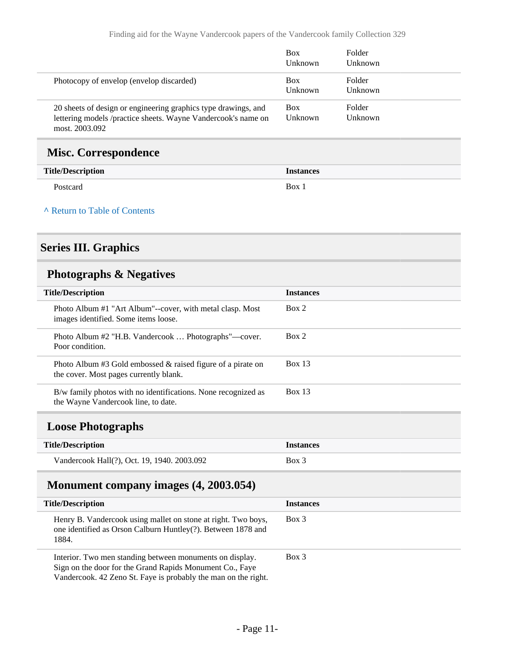|                                                                                                                                                   | <b>Box</b><br>Unknown | Folder<br>Unknown |
|---------------------------------------------------------------------------------------------------------------------------------------------------|-----------------------|-------------------|
| Photocopy of envelop (envelop discarded)                                                                                                          | <b>Box</b><br>Unknown | Folder<br>Unknown |
| 20 sheets of design or engineering graphics type drawings, and<br>lettering models /practice sheets. Wayne Vandercook's name on<br>most. 2003.092 | <b>Box</b><br>Unknown | Folder<br>Unknown |

#### <span id="page-10-0"></span>**Misc. Correspondence**

| <b>Title/Description</b> | <b>Instances</b> |
|--------------------------|------------------|
| Postcard                 | Box 2            |

#### **^** [Return to Table of Contents](#page-1-0)

# <span id="page-10-1"></span>**Series III. Graphics**

# <span id="page-10-2"></span>**Photographs & Negatives**

| <b>Title/Description</b>                                                                                 | <b>Instances</b> |
|----------------------------------------------------------------------------------------------------------|------------------|
| Photo Album #1 "Art Album"--cover, with metal clasp. Most<br>images identified. Some items loose.        | Box 2            |
| Photo Album #2 "H.B. Vandercook  Photographs"—cover.<br>Poor condition.                                  | Box 2            |
| Photo Album #3 Gold embossed $\&$ raised figure of a pirate on<br>the cover. Most pages currently blank. | Box 13           |
| B/w family photos with no identifications. None recognized as<br>the Wayne Vandercook line, to date.     | Box 13           |
| $\mathbf{I}$ and $\mathbf{D}$ is the sum in $\mathbf{I}$                                                 |                  |

#### <span id="page-10-3"></span>**Loose Photographs**

| <b>Title/Description</b>                    | <b>Instances</b> |
|---------------------------------------------|------------------|
| Vandercook Hall(?), Oct. 19, 1940. 2003.092 | Box 3            |

# <span id="page-10-4"></span>**Monument company images (4, 2003.054)**

| <b>Title/Description</b>                                                                                                                                                               | <b>Instances</b> |
|----------------------------------------------------------------------------------------------------------------------------------------------------------------------------------------|------------------|
| Henry B. Vandercook using mallet on stone at right. Two boys,<br>one identified as Orson Calburn Huntley(?). Between 1878 and<br>1884.                                                 | Box 3            |
| Interior. Two men standing between monuments on display.<br>Sign on the door for the Grand Rapids Monument Co., Faye<br>Vandercook. 42 Zeno St. Faye is probably the man on the right. | $Box$ 3          |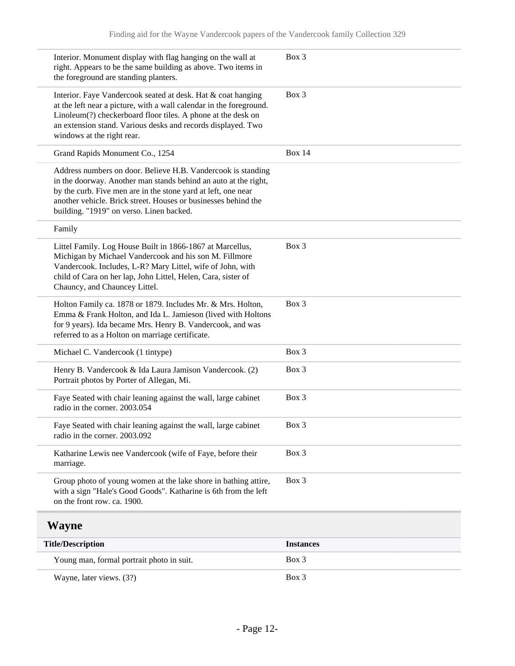<span id="page-11-0"></span>

| Interior. Monument display with flag hanging on the wall at<br>right. Appears to be the same building as above. Two items in<br>the foreground are standing planters.                                                                                                                                          | Box 3            |
|----------------------------------------------------------------------------------------------------------------------------------------------------------------------------------------------------------------------------------------------------------------------------------------------------------------|------------------|
| Interior. Faye Vandercook seated at desk. Hat & coat hanging<br>at the left near a picture, with a wall calendar in the foreground.<br>Linoleum(?) checkerboard floor tiles. A phone at the desk on<br>an extension stand. Various desks and records displayed. Two<br>windows at the right rear.              | Box 3            |
| Grand Rapids Monument Co., 1254                                                                                                                                                                                                                                                                                | <b>Box 14</b>    |
| Address numbers on door. Believe H.B. Vandercook is standing<br>in the doorway. Another man stands behind an auto at the right,<br>by the curb. Five men are in the stone yard at left, one near<br>another vehicle. Brick street. Houses or businesses behind the<br>building. "1919" on verso. Linen backed. |                  |
| Family                                                                                                                                                                                                                                                                                                         |                  |
| Littel Family. Log House Built in 1866-1867 at Marcellus,<br>Michigan by Michael Vandercook and his son M. Fillmore<br>Vandercook. Includes, L-R? Mary Littel, wife of John, with<br>child of Cara on her lap, John Littel, Helen, Cara, sister of<br>Chauncy, and Chauncey Littel.                            | $Box$ 3          |
| Holton Family ca. 1878 or 1879. Includes Mr. & Mrs. Holton,<br>Emma & Frank Holton, and Ida L. Jamieson (lived with Holtons<br>for 9 years). Ida became Mrs. Henry B. Vandercook, and was<br>referred to as a Holton on marriage certificate.                                                                  | Box 3            |
| Michael C. Vandercook (1 tintype)                                                                                                                                                                                                                                                                              | Box 3            |
| Henry B. Vandercook & Ida Laura Jamison Vandercook. (2)<br>Portrait photos by Porter of Allegan, Mi.                                                                                                                                                                                                           | Box 3            |
| Faye Seated with chair leaning against the wall, large cabinet<br>radio in the corner. 2003.054                                                                                                                                                                                                                | Box 3            |
| Faye Seated with chair leaning against the wall, large cabinet<br>radio in the corner. 2003.092                                                                                                                                                                                                                | Box 3            |
| Katharine Lewis nee Vandercook (wife of Faye, before their<br>marriage.                                                                                                                                                                                                                                        | Box 3            |
| Group photo of young women at the lake shore in bathing attire,<br>with a sign "Hale's Good Goods". Katharine is 6th from the left<br>on the front row. ca. 1900.                                                                                                                                              | Box 3            |
| Wayne                                                                                                                                                                                                                                                                                                          |                  |
| <b>Title/Description</b>                                                                                                                                                                                                                                                                                       | <b>Instances</b> |
| Young man, formal portrait photo in suit.                                                                                                                                                                                                                                                                      | Box 3            |
| Wayne, later views. (3?)                                                                                                                                                                                                                                                                                       | Box 3            |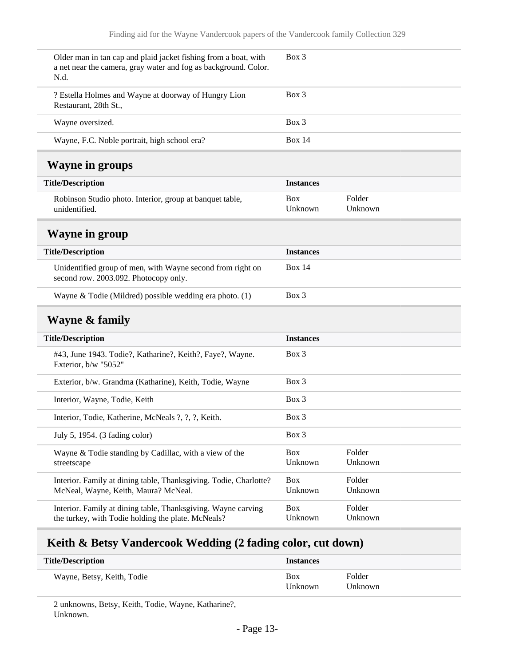<span id="page-12-1"></span><span id="page-12-0"></span>

| Older man in tan cap and plaid jacket fishing from a boat, with<br>a net near the camera, gray water and fog as background. Color.<br>N.d. | $Box$ 3               |                   |
|--------------------------------------------------------------------------------------------------------------------------------------------|-----------------------|-------------------|
| ? Estella Holmes and Wayne at doorway of Hungry Lion<br>Restaurant, 28th St.,                                                              | $Box$ 3               |                   |
| Wayne oversized.                                                                                                                           | $Box$ 3               |                   |
| Wayne, F.C. Noble portrait, high school era?                                                                                               | <b>Box 14</b>         |                   |
| <b>Wayne in groups</b>                                                                                                                     |                       |                   |
| <b>Title/Description</b>                                                                                                                   | <b>Instances</b>      |                   |
| Robinson Studio photo. Interior, group at banquet table,<br>unidentified.                                                                  | <b>Box</b><br>Unknown | Folder<br>Unknown |
| <b>Wayne in group</b>                                                                                                                      |                       |                   |
| <b>Title/Description</b>                                                                                                                   | <b>Instances</b>      |                   |
| Unidentified group of men, with Wayne second from right on<br>second row. 2003.092. Photocopy only.                                        | <b>Box 14</b>         |                   |
| Wayne & Todie (Mildred) possible wedding era photo. (1)                                                                                    | Box 3                 |                   |
| <b>Wayne &amp; family</b>                                                                                                                  |                       |                   |
| <b>Title/Description</b>                                                                                                                   | <b>Instances</b>      |                   |
| #43, June 1943. Todie?, Katharine?, Keith?, Faye?, Wayne.<br>Exterior, b/w "5052"                                                          | $Box$ 3               |                   |
| Exterior, b/w. Grandma (Katharine), Keith, Todie, Wayne                                                                                    | Box 3                 |                   |
| Interior, Wayne, Todie, Keith                                                                                                              | Box 3                 |                   |
| Interior, Todie, Katherine, McNeals ?, ?, ?, Keith.                                                                                        | Box 3                 |                   |
| July 5, 1954. (3 fading color)                                                                                                             | Box 3                 |                   |
| Wayne & Todie standing by Cadillac, with a view of the<br>streetscape                                                                      | Box<br>Unknown        | Folder<br>Unknown |
| Interior. Family at dining table, Thanksgiving. Todie, Charlotte?<br>McNeal, Wayne, Keith, Maura? McNeal.                                  | Box<br>Unknown        | Folder<br>Unknown |
| Interior. Family at dining table, Thanksgiving. Wayne carving<br>the turkey, with Todie holding the plate. McNeals?                        | <b>Box</b><br>Unknown | Folder<br>Unknown |

# <span id="page-12-3"></span><span id="page-12-2"></span>**Keith & Betsy Vandercook Wedding (2 fading color, cut down)**

| <b>Title/Description</b>   | <b>Instances</b>      |                   |
|----------------------------|-----------------------|-------------------|
| Wayne, Betsy, Keith, Todie | <b>Box</b><br>Unknown | Folder<br>Unknown |

2 unknowns, Betsy, Keith, Todie, Wayne, Katharine?, Unknown.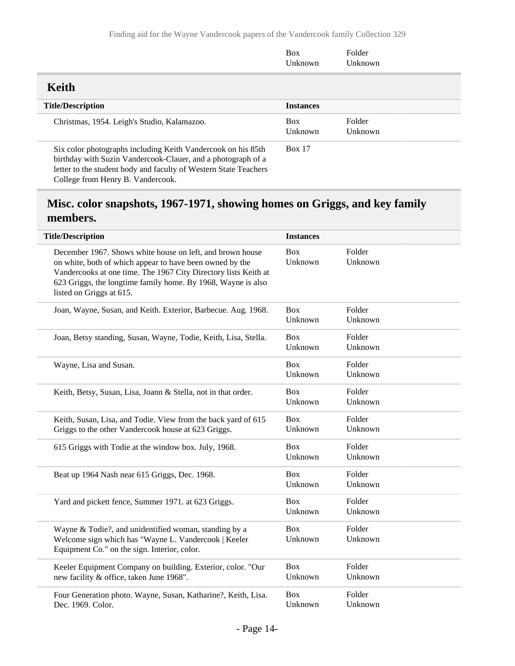<span id="page-13-0"></span>

|                                                                                                                                                                                                                                       | <b>Box</b><br>Unknown | Folder<br>Unknown |
|---------------------------------------------------------------------------------------------------------------------------------------------------------------------------------------------------------------------------------------|-----------------------|-------------------|
| Keith                                                                                                                                                                                                                                 |                       |                   |
| <b>Title/Description</b>                                                                                                                                                                                                              | <b>Instances</b>      |                   |
| Christmas, 1954. Leigh's Studio, Kalamazoo.                                                                                                                                                                                           | <b>Box</b><br>Unknown | Folder<br>Unknown |
| Six color photographs including Keith Vandercook on his 85th<br>birthday with Suzin Vandercook-Clauer, and a photograph of a<br>letter to the student body and faculty of Western State Teachers<br>College from Henry B. Vandercook. | <b>Box 17</b>         |                   |

# <span id="page-13-1"></span>**Misc. color snapshots, 1967-1971, showing homes on Griggs, and key family members.**

| <b>Title/Description</b>                                                                                                                                                                                                                                                             | <b>Instances</b>      |                   |
|--------------------------------------------------------------------------------------------------------------------------------------------------------------------------------------------------------------------------------------------------------------------------------------|-----------------------|-------------------|
| December 1967. Shows white house on left, and brown house<br>on white, both of which appear to have been owned by the<br>Vandercooks at one time. The 1967 City Directory lists Keith at<br>623 Griggs, the longtime family home. By 1968, Wayne is also<br>listed on Griggs at 615. | <b>Box</b><br>Unknown | Folder<br>Unknown |
| Joan, Wayne, Susan, and Keith. Exterior, Barbecue. Aug. 1968.                                                                                                                                                                                                                        | <b>Box</b><br>Unknown | Folder<br>Unknown |
| Joan, Betsy standing, Susan, Wayne, Todie, Keith, Lisa, Stella.                                                                                                                                                                                                                      | <b>Box</b><br>Unknown | Folder<br>Unknown |
| Wayne, Lisa and Susan.                                                                                                                                                                                                                                                               | <b>Box</b><br>Unknown | Folder<br>Unknown |
| Keith, Betsy, Susan, Lisa, Joann & Stella, not in that order.                                                                                                                                                                                                                        | <b>Box</b><br>Unknown | Folder<br>Unknown |
| Keith, Susan, Lisa, and Todie. View from the back yard of 615<br>Griggs to the other Vandercook house at 623 Griggs.                                                                                                                                                                 | <b>Box</b><br>Unknown | Folder<br>Unknown |
| 615 Griggs with Todie at the window box. July, 1968.                                                                                                                                                                                                                                 | <b>Box</b><br>Unknown | Folder<br>Unknown |
| Beat up 1964 Nash near 615 Griggs, Dec. 1968.                                                                                                                                                                                                                                        | <b>Box</b><br>Unknown | Folder<br>Unknown |
| Yard and pickett fence, Summer 1971. at 623 Griggs.                                                                                                                                                                                                                                  | <b>Box</b><br>Unknown | Folder<br>Unknown |
| Wayne & Todie?, and unidentified woman, standing by a<br>Welcome sign which has "Wayne L. Vandercook   Keeler<br>Equipment Co." on the sign. Interior, color.                                                                                                                        | <b>Box</b><br>Unknown | Folder<br>Unknown |
| Keeler Equipment Company on building. Exterior, color. "Our<br>new facility & office, taken June 1968".                                                                                                                                                                              | <b>Box</b><br>Unknown | Folder<br>Unknown |
| Four Generation photo. Wayne, Susan, Katharine?, Keith, Lisa.<br>Dec. 1969. Color.                                                                                                                                                                                                   | <b>Box</b><br>Unknown | Folder<br>Unknown |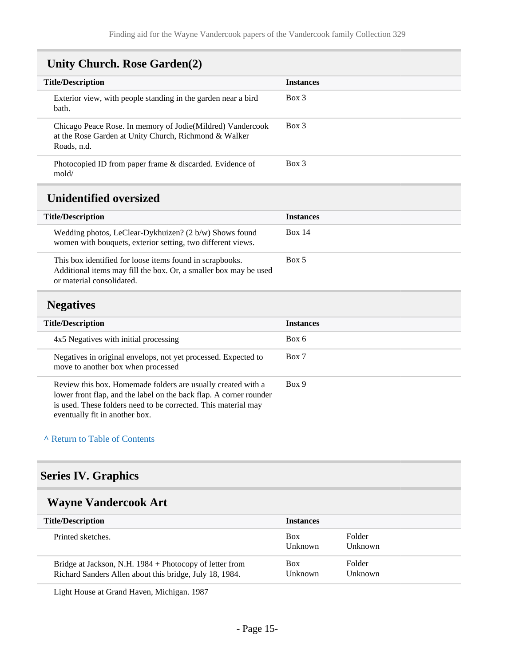# <span id="page-14-0"></span>**Unity Church. Rose Garden(2)**

<span id="page-14-1"></span>

| <b>Title/Description</b>                                                                                                                                                                                                               | <b>Instances</b> |
|----------------------------------------------------------------------------------------------------------------------------------------------------------------------------------------------------------------------------------------|------------------|
| Exterior view, with people standing in the garden near a bird<br>bath.                                                                                                                                                                 | Box 3            |
| Chicago Peace Rose. In memory of Jodie(Mildred) Vandercook<br>at the Rose Garden at Unity Church, Richmond & Walker<br>Roads, n.d.                                                                                                     | Box 3            |
| Photocopied ID from paper frame & discarded. Evidence of<br>modd/                                                                                                                                                                      | Box 3            |
| <b>Unidentified oversized</b>                                                                                                                                                                                                          |                  |
| <b>Title/Description</b>                                                                                                                                                                                                               | <b>Instances</b> |
| Wedding photos, LeClear-Dykhuizen? (2 b/w) Shows found<br>women with bouquets, exterior setting, two different views.                                                                                                                  | <b>Box 14</b>    |
| This box identified for loose items found in scrapbooks.<br>Additional items may fill the box. Or, a smaller box may be used<br>or material consolidated.                                                                              | Box 5            |
| <b>Negatives</b>                                                                                                                                                                                                                       |                  |
| <b>Title/Description</b>                                                                                                                                                                                                               | <b>Instances</b> |
| 4x5 Negatives with initial processing                                                                                                                                                                                                  | Box 6            |
| Negatives in original envelops, not yet processed. Expected to<br>move to another box when processed                                                                                                                                   | Box 7            |
| Review this box. Homemade folders are usually created with a<br>lower front flap, and the label on the back flap. A corner rounder<br>is used. These folders need to be corrected. This material may<br>eventually fit in another box. | Box 9            |

#### <span id="page-14-2"></span>**^** [Return to Table of Contents](#page-1-0)

### <span id="page-14-3"></span>**Series IV. Graphics**

# <span id="page-14-4"></span>**Wayne Vandercook Art**

| <b>Title/Description</b>                                                                                           | <b>Instances</b>      |                          |
|--------------------------------------------------------------------------------------------------------------------|-----------------------|--------------------------|
| Printed sketches.                                                                                                  | <b>Box</b><br>Unknown | Folder<br><b>Unknown</b> |
| Bridge at Jackson, N.H. 1984 + Photocopy of letter from<br>Richard Sanders Allen about this bridge, July 18, 1984. | <b>Box</b><br>Unknown | Folder<br>Unknown        |

Light House at Grand Haven, Michigan. 1987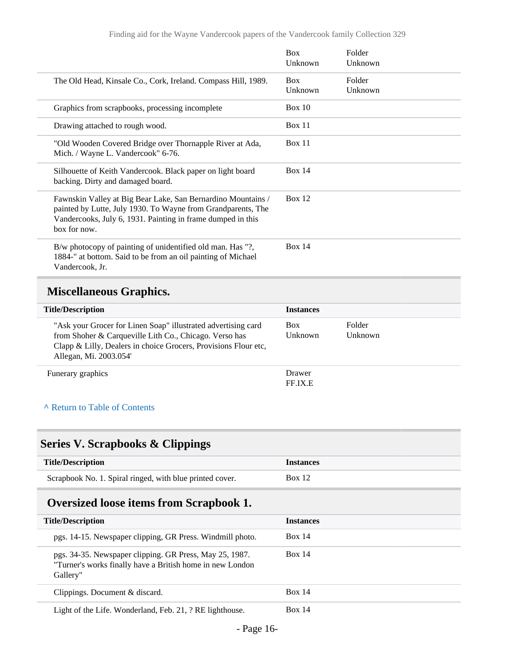|                                                                                                                                                                                                             | <b>Box</b><br>Unknown | Folder<br>Unknown |
|-------------------------------------------------------------------------------------------------------------------------------------------------------------------------------------------------------------|-----------------------|-------------------|
| The Old Head, Kinsale Co., Cork, Ireland. Compass Hill, 1989.                                                                                                                                               | <b>Box</b><br>Unknown | Folder<br>Unknown |
| Graphics from scrapbooks, processing incomplete                                                                                                                                                             | Box 10                |                   |
| Drawing attached to rough wood.                                                                                                                                                                             | <b>Box 11</b>         |                   |
| "Old Wooden Covered Bridge over Thornapple River at Ada,<br>Mich. / Wayne L. Vandercook" 6-76.                                                                                                              | Box 11                |                   |
| Silhouette of Keith Vandercook. Black paper on light board<br>backing. Dirty and damaged board.                                                                                                             | Box $14$              |                   |
| Fawnskin Valley at Big Bear Lake, San Bernardino Mountains /<br>painted by Lutte, July 1930. To Wayne from Grandparents, The<br>Vandercooks, July 6, 1931. Painting in frame dumped in this<br>box for now. | Box $12$              |                   |
| B/w photocopy of painting of unidentified old man. Has "?,<br>1884-" at bottom. Said to be from an oil painting of Michael<br>Vandercook, Jr.                                                               | Box 14                |                   |

# <span id="page-15-0"></span>**Miscellaneous Graphics.**

| <b>Title/Description</b>                                                                                                                                                                                             | <b>Instances</b>      |                   |
|----------------------------------------------------------------------------------------------------------------------------------------------------------------------------------------------------------------------|-----------------------|-------------------|
| "Ask your Grocer for Linen Soap" illustrated advertising card<br>from Shoher & Carqueville Lith Co., Chicago. Verso has<br>Clapp & Lilly, Dealers in choice Grocers, Provisions Flour etc,<br>Allegan, Mi. 2003.054' | <b>Box</b><br>Unknown | Folder<br>Unknown |
| Funerary graphics                                                                                                                                                                                                    | Drawer<br>FF.IX.E     |                   |

#### **^** [Return to Table of Contents](#page-1-0)

# <span id="page-15-1"></span>**Series V. Scrapbooks & Clippings**

| <b>Title/Description</b>                                 | <i><u><b>Instances</b></u></i> |
|----------------------------------------------------------|--------------------------------|
| Scrapbook No. 1. Spiral ringed, with blue printed cover. | <b>Box 12</b>                  |

# <span id="page-15-2"></span>**Oversized loose items from Scrapbook 1.**

| <b>Title/Description</b>                                                                                                         | <b>Instances</b> |
|----------------------------------------------------------------------------------------------------------------------------------|------------------|
| pgs. 14-15. Newspaper clipping, GR Press. Windmill photo.                                                                        | <b>Box 14</b>    |
| pgs. 34-35. Newspaper clipping. GR Press, May 25, 1987.<br>"Turner's works finally have a British home in new London<br>Gallery" | <b>Box 14</b>    |
| Clippings. Document & discard.                                                                                                   | Box 14           |
| Light of the Life. Wonderland, Feb. 21, ? RE lighthouse.                                                                         | Box 14           |